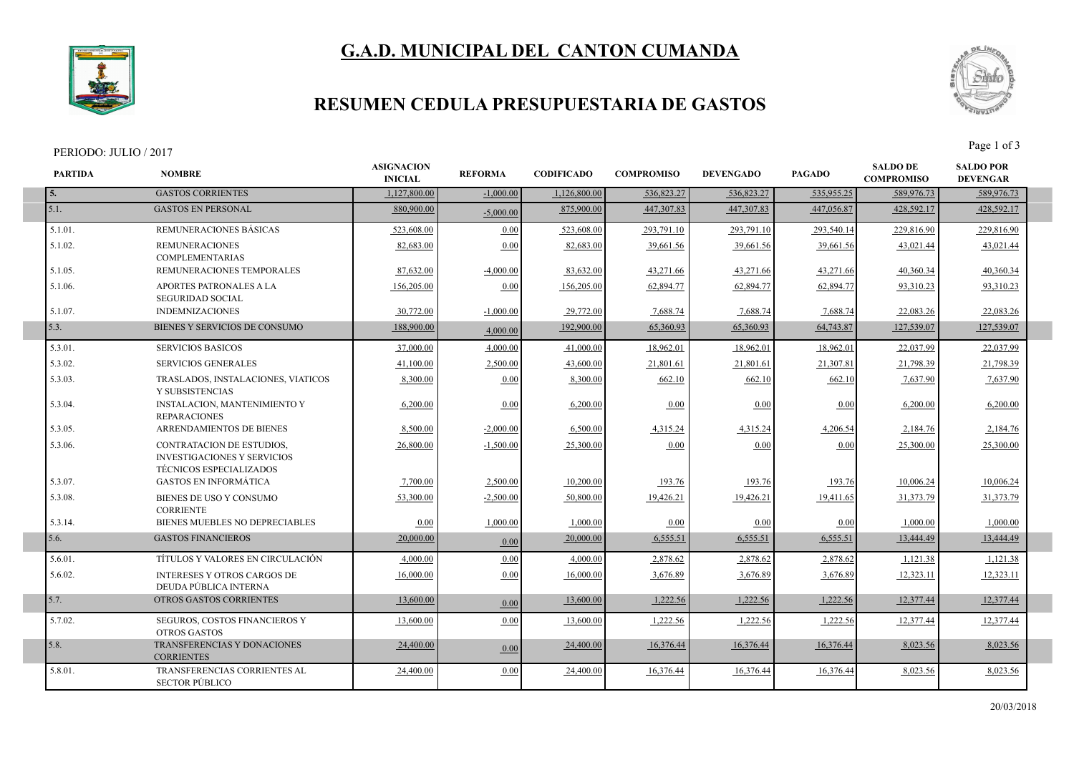



## **RESUMEN CEDULA PRESUPUESTARIA DE GASTOS**

#### PERIODO: JULIO / 2017<br>Page 1 of 3

I



| <b>PARTIDA</b> | <b>NOMBRE</b>                                                                                     | <b>ASIGNACION</b><br><b>INICIAL</b> | <b>REFORMA</b> | <b>CODIFICADO</b> | <b>COMPROMISO</b> | <b>DEVENGADO</b> | <b>PAGADO</b> | <b>SALDO DE</b><br><b>COMPROMISO</b> | <b>SALDO POR</b><br><b>DEVENGAR</b> |  |
|----------------|---------------------------------------------------------------------------------------------------|-------------------------------------|----------------|-------------------|-------------------|------------------|---------------|--------------------------------------|-------------------------------------|--|
| 5.             | <b>GASTOS CORRIENTES</b>                                                                          | 1,127,800.00                        | $-1,000.00$    | 1,126,800.00      | 536,823.27        | 536,823.27       | 535,955.25    | 589,976.73                           | 589,976.73                          |  |
| 5.1.           | <b>GASTOS EN PERSONAL</b>                                                                         | 880,900.00                          | $-5,000.00$    | 875,900.00        | 447.307.83        | 447.307.83       | 447,056.87    | 428.592.17                           | 428,592.17                          |  |
| 5.1.01.        | REMUNERACIONES BÁSICAS                                                                            | 523,608.00                          | 0.00           | 523,608.00        | 293,791.10        | 293,791.10       | 293,540.14    | 229,816.90                           | 229,816.90                          |  |
| 5.1.02.        | <b>REMUNERACIONES</b><br><b>COMPLEMENTARIAS</b>                                                   | 82.683.00                           | 0.00           | 82.683.00         | 39.661.56         | 39,661.56        | 39,661.56     | 43.021.44                            | 43,021.44                           |  |
| 5.1.05.        | REMUNERACIONES TEMPORALES                                                                         | 87,632.00                           | $-4,000.00$    | 83,632.00         | 43,271.66         | 43,271.66        | 43,271.66     | 40,360.34                            | 40,360.34                           |  |
| 5.1.06.        | <b>APORTES PATRONALES A LA</b><br><b>SEGURIDAD SOCIAL</b>                                         | 156,205.00                          | 0.00           | 156,205.00        | 62,894.77         | 62.894.77        | 62,894.77     | 93.310.23                            | 93.310.23                           |  |
| 5.1.07.        | <b>INDEMNIZACIONES</b>                                                                            | 30.772.00                           | $-1.000.00$    | 29,772.00         | 7.688.74          | 7.688.74         | 7.688.74      | 22.083.26                            | 22,083.26                           |  |
| 5.3.           | BIENES Y SERVICIOS DE CONSUMO                                                                     | 188,900.00                          | 4,000.00       | 192,900.00        | 65,360.93         | 65,360.93        | 64,743.87     | 127,539.07                           | 127,539.07                          |  |
| 5.3.01.        | <b>SERVICIOS BASICOS</b>                                                                          | 37,000.00                           | 4,000.00       | 41,000.00         | 18,962.01         | 18,962.01        | 18,962.01     | 22,037.99                            | 22,037.99                           |  |
| 5.3.02.        | <b>SERVICIOS GENERALES</b>                                                                        | 41,100.00                           | 2,500.00       | 43,600.00         | 21,801.61         | 21,801.61        | 21,307.81     | 21,798.39                            | 21,798.39                           |  |
| 5.3.03.        | TRASLADOS, INSTALACIONES, VIATICOS<br>Y SUBSISTENCIAS                                             | 8,300.00                            | 0.00           | 8,300.00          | 662.10            | 662.10           | 662.10        | 7,637.90                             | 7,637.90                            |  |
| 5.3.04.        | <b>INSTALACION, MANTENIMIENTO Y</b><br><b>REPARACIONES</b>                                        | 6,200.00                            | 0.00           | 6,200.00          | 0.00              | 0.00             | 0.00          | 6,200.00                             | 6,200.00                            |  |
| 5.3.05.        | ARRENDAMIENTOS DE BIENES                                                                          | 8,500.00                            | $-2,000.00$    | 6,500.00          | 4,315.24          | 4,315.24         | 4,206.54      | 2,184.76                             | 2,184.76                            |  |
| 5.3.06.        | <b>CONTRATACION DE ESTUDIOS,</b><br><b>INVESTIGACIONES Y SERVICIOS</b><br>TÉCNICOS ESPECIALIZADOS | 26,800.00                           | $-1,500.00$    | 25,300.00         | 0.00              | 0.00             | 0.00          | 25,300.00                            | 25,300.00                           |  |
| 5.3.07.        | <b>GASTOS EN INFORMÁTICA</b>                                                                      | 7,700.00                            | 2,500.00       | 10,200.00         | 193.76            | 193.76           | 193.76        | 10,006.24                            | 10,006.24                           |  |
| 5.3.08.        | BIENES DE USO Y CONSUMO<br><b>CORRIENTE</b>                                                       | 53,300.00                           | $-2,500.00$    | 50,800.00         | 19,426.21         | 19,426.21        | 19,411.65     | 31,373.79                            | 31,373.79                           |  |
| 5.3.14.        | BIENES MUEBLES NO DEPRECIABLES                                                                    | 0.00                                | 1.000.00       | 1,000.00          | 0.00              | 0.00             | 0.00          | 1,000.00                             | 1.000.00                            |  |
| 5.6.           | <b>GASTOS FINANCIEROS</b>                                                                         | 20,000.00                           | 0.00           | 20,000.00         | 6,555.51          | 6,555.51         | 6,555.51      | 13,444.49                            | 13,444.49                           |  |
| 5.6.01.        | TÍTULOS Y VALORES EN CIRCULACIÓN                                                                  | 4,000.00                            | 0.00           | 4,000.00          | 2,878.62          | 2,878.62         | 2,878.62      | 1,121.38                             | 1,121.38                            |  |
| 5.6.02.        | <b>INTERESES Y OTROS CARGOS DE</b><br>DEUDA PÚBLICA INTERNA                                       | 16,000.00                           | 0.00           | 16,000.00         | 3,676.89          | 3,676.89         | 3,676.89      | 12,323.11                            | 12,323.11                           |  |
| 5.7.           | OTROS GASTOS CORRIENTES                                                                           | 13,600.00                           | 0.00           | 13,600.00         | 1,222.56          | 1,222.56         | 1,222.56      | 12.377.44                            | 12,377.44                           |  |
| 5.7.02.        | SEGUROS, COSTOS FINANCIEROS Y<br><b>OTROS GASTOS</b>                                              | 13.600.00                           | 0.00           | 13,600.00         | 1,222.56          | 1,222.56         | 1,222.56      | 12,377.44                            | 12,377.44                           |  |
| 5.8.           | TRANSFERENCIAS Y DONACIONES<br><b>CORRIENTES</b>                                                  | 24,400.00                           | 0.00           | 24,400.00         | 16,376.44         | 16,376.44        | 16.376.44     | 8,023.56                             | 8,023.56                            |  |
| 5.8.01.        | TRANSFERENCIAS CORRIENTES AL<br><b>SECTOR PÚBLICO</b>                                             | 24,400.00                           | 0.00           | 24,400.00         | 16,376.44         | 16,376.44        | 16,376.44     | 8,023.56                             | 8,023.56                            |  |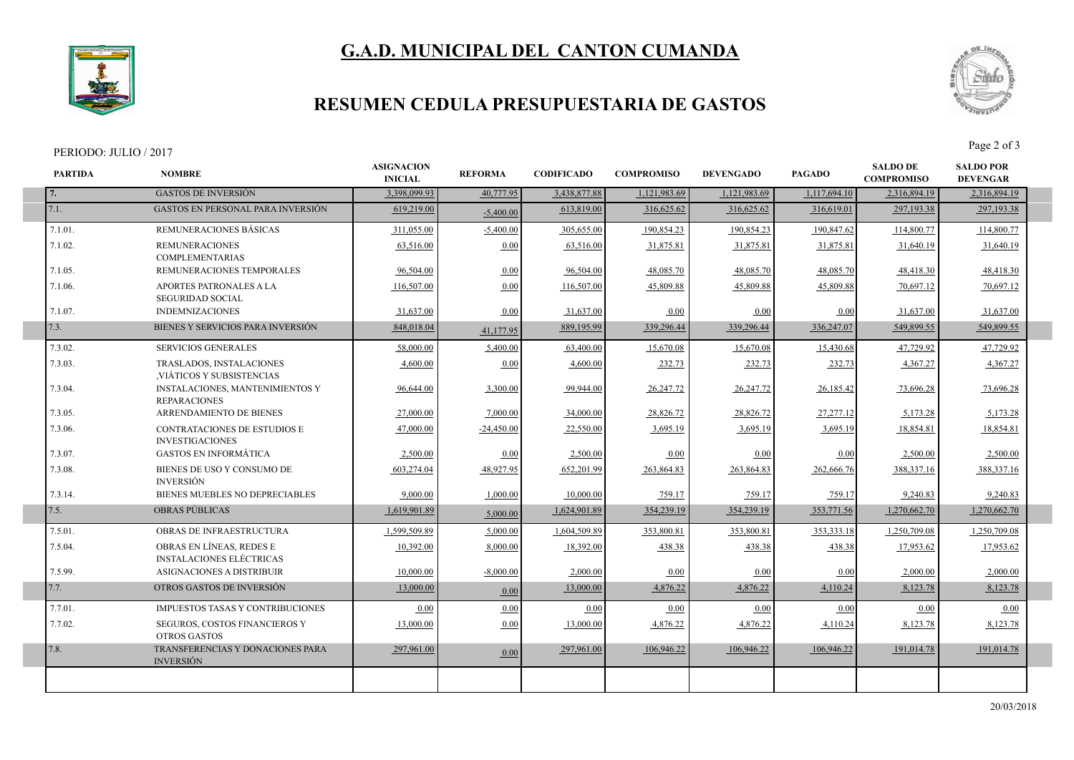



## **RESUMEN CEDULA PRESUPUESTARIA DE GASTOS**

#### PERIODO: JULIO / 2017<br>Page 2 of 3

I

I



| <b>PARTIDA</b> | <b>NOMBRE</b>                                                 | <b>ASIGNACION</b><br><b>INICIAL</b> | <b>REFORMA</b> | <b>CODIFICADO</b> | <b>COMPROMISO</b> | <b>DEVENGADO</b> | <b>PAGADO</b> | <b>SALDO DE</b><br><b>COMPROMISO</b> | <b>SALDO POR</b><br><b>DEVENGAR</b> |  |
|----------------|---------------------------------------------------------------|-------------------------------------|----------------|-------------------|-------------------|------------------|---------------|--------------------------------------|-------------------------------------|--|
| 7.             | <b>GASTOS DE INVERSIÓN</b>                                    | 3,398,099.93                        | 40,777.95      | 3,438,877.88      | 1,121,983.69      | 1,121,983.69     | 1,117,694.10  | 2,316,894.19                         | 2,316,894.19                        |  |
| 7.1.           | <b>GASTOS EN PERSONAL PARA INVERSIÓN</b>                      | 619,219.00                          | $-5.400.00$    | 613,819.00        | 316,625.62        | 316,625.62       | 316,619.01    | 297,193.38                           | 297,193.38                          |  |
| 7.1.01.        | REMUNERACIONES BÁSICAS                                        | 311,055.00                          | $-5,400.00$    | 305,655.00        | 190.854.23        | 190.854.23       | 190,847.62    | 114,800.77                           | 114,800.77                          |  |
| 7.1.02.        | <b>REMUNERACIONES</b><br><b>COMPLEMENTARIAS</b>               | 63,516.00                           | 0.00           | 63,516.00         | 31,875.81         | 31,875.8         | 31,875.81     | 31,640.19                            | 31,640.19                           |  |
| 7.1.05.        | REMUNERACIONES TEMPORALES                                     | 96,504.00                           | 0.00           | 96,504.00         | 48,085.70         | 48,085.70        | 48,085.70     | 48,418.30                            | 48,418.30                           |  |
| 7.1.06.        | APORTES PATRONALES A LA<br><b>SEGURIDAD SOCIAL</b>            | 116,507.00                          | 0.00           | 116,507.00        | 45,809.88         | 45,809.88        | 45,809.88     | 70,697.12                            | 70,697.12                           |  |
| 7.1.07.        | <b>INDEMNIZACIONES</b>                                        | 31,637.00                           | 0.00           | 31,637.00         | 0.00              | 0.00             | 0.00          | 31,637.00                            | 31,637.00                           |  |
| 7.3.           | BIENES Y SERVICIOS PARA INVERSIÓN                             | 848,018.04                          | 41,177.95      | 889,195.99        | 339,296.44        | 339,296.44       | 336,247.07    | 549,899.55                           | 549,899.55                          |  |
| 7.3.02.        | <b>SERVICIOS GENERALES</b>                                    | 58,000.00                           | 5.400.00       | 63,400.00         | 15,670.08         | 15,670.08        | 15.430.68     | 47,729.92                            | 47.729.92                           |  |
| 7.3.03.        | TRASLADOS, INSTALACIONES<br>VIÁTICOS Y SUBSISTENCIAS          | 4,600.00                            | 0.00           | 4,600.00          | 232.73            | 232.73           | 232.73        | 4,367.27                             | 4,367.27                            |  |
| 7.3.04.        | <b>INSTALACIONES, MANTENIMIENTOS Y</b><br><b>REPARACIONES</b> | 96,644.00                           | 3,300.00       | 99,944.00         | 26,247.72         | 26,247.72        | 26,185.42     | 73,696.28                            | 73,696.28                           |  |
| 7.3.05.        | ARRENDAMIENTO DE BIENES                                       | 27,000.00                           | 7.000.00       | 34,000.00         | 28,826.72         | 28,826.72        | 27,277.12     | 5,173.28                             | 5,173.28                            |  |
| 7.3.06.        | CONTRATACIONES DE ESTUDIOS E<br><b>INVESTIGACIONES</b>        | 47,000.00                           | $-24,450.00$   | 22,550.00         | 3,695.19          | 3,695.19         | 3,695.19      | 18,854.81                            | 18,854.81                           |  |
| 7.3.07.        | <b>GASTOS EN INFORMÁTICA</b>                                  | 2,500.00                            | 0.00           | 2,500.00          | 0.00              | 0.00             | 0.00          | 2,500.00                             | 2,500.00                            |  |
| 7.3.08.        | BIENES DE USO Y CONSUMO DE<br><b>INVERSIÓN</b>                | 603,274.04                          | 48,927.95      | 652,201.99        | 263,864.83        | 263,864.83       | 262,666.76    | 388,337.16                           | 388,337.16                          |  |
| 7.3.14.        | BIENES MUEBLES NO DEPRECIABLES                                | 9,000.00                            | 1,000.00       | 10,000.00         | 759.17            | 759.17           | 759.17        | 9,240.83                             | 9,240.83                            |  |
| 7.5.           | <b>OBRAS PÚBLICAS</b>                                         | 1,619,901.89                        | 5.000.00       | 1,624,901.89      | 354,239.19        | 354,239.19       | 353,771.56    | 1,270,662.70                         | 1,270,662.70                        |  |
| 7.5.01.        | <b>OBRAS DE INFRAESTRUCTURA</b>                               | 1.599.509.89                        | 5.000.00       | 1.604.509.89      | 353,800.81        | 353,800.81       | 353, 333. 18  | 1.250.709.08                         | 1.250.709.08                        |  |
| 7.5.04.        | OBRAS EN LÍNEAS, REDES E<br><b>INSTALACIONES ELÉCTRICAS</b>   | 10,392.00                           | 8,000.00       | 18,392.00         | 438.38            | 438.38           | 438.38        | 17,953.62                            | 17,953.62                           |  |
| 7.5.99.        | ASIGNACIONES A DISTRIBUIR                                     | 10,000.00                           | $-8,000.00$    | 2,000.00          | 0.00              | 0.00             | 0.00          | 2,000.00                             | 2.000.00                            |  |
| 7.7.           | OTROS GASTOS DE INVERSIÓN                                     | 13,000.00                           | 0.00           | 13,000.00         | 4,876.22          | 4,876.22         | 4,110.24      | 8,123.78                             | 8,123.78                            |  |
| 7.7.01.        | <b>IMPUESTOS TASAS Y CONTRIBUCIONES</b>                       | 0.00                                | 0.00           | 0.00              | 0.00              | 0.00             | 0.00          | 0.00                                 | 0.00                                |  |
| 7.7.02.        | SEGUROS, COSTOS FINANCIEROS Y<br><b>OTROS GASTOS</b>          | 13,000.00                           | 0.00           | 13,000.00         | 4,876.22          | 4,876.22         | 4,110.24      | 8,123.78                             | 8,123.78                            |  |
| 7.8.           | TRANSFERENCIAS Y DONACIONES PARA<br><b>INVERSIÓN</b>          | 297,961.00                          | 0.00           | 297,961.00        | 106,946.22        | 106.946.22       | 106,946.22    | 191,014.78                           | 191,014.78                          |  |
|                |                                                               |                                     |                |                   |                   |                  |               |                                      |                                     |  |
|                |                                                               |                                     |                |                   |                   |                  |               |                                      |                                     |  |